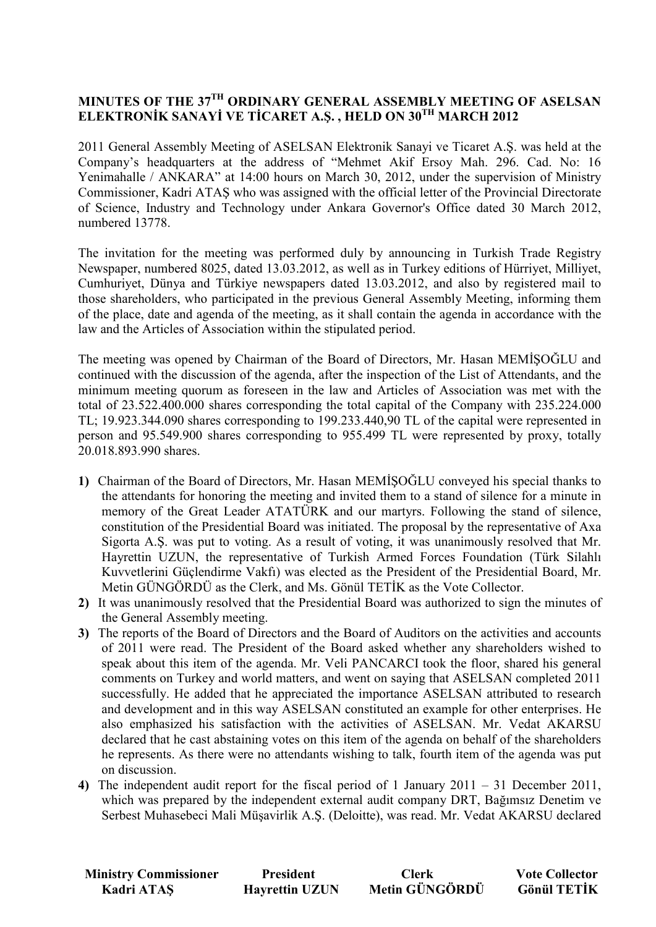# **MINUTES OF THE 37TH ORDINARY GENERAL ASSEMBLY MEETING OF ASELSAN ELEKTRONİK SANAYİ VE TİCARET A.Ş., HELD ON 30<sup>TH</sup> MARCH 2012**

2011 General Assembly Meeting of ASELSAN Elektronik Sanayi ve Ticaret A.Ş. was held at the Company's headquarters at the address of "Mehmet Akif Ersoy Mah. 296. Cad. No: 16 Yenimahalle / ANKARA" at 14:00 hours on March 30, 2012, under the supervision of Ministry Commissioner, Kadri ATAŞ who was assigned with the official letter of the Provincial Directorate of Science, Industry and Technology under Ankara Governor's Office dated 30 March 2012, numbered 13778.

The invitation for the meeting was performed duly by announcing in Turkish Trade Registry Newspaper, numbered 8025, dated 13.03.2012, as well as in Turkey editions of Hürriyet, Milliyet, Cumhuriyet, Dünya and Türkiye newspapers dated 13.03.2012, and also by registered mail to those shareholders, who participated in the previous General Assembly Meeting, informing them of the place, date and agenda of the meeting, as it shall contain the agenda in accordance with the law and the Articles of Association within the stipulated period.

The meeting was opened by Chairman of the Board of Directors, Mr. Hasan MEMISOGLU and continued with the discussion of the agenda, after the inspection of the List of Attendants, and the minimum meeting quorum as foreseen in the law and Articles of Association was met with the total of 23.522.400.000 shares corresponding the total capital of the Company with 235.224.000 TL; 19.923.344.090 shares corresponding to 199.233.440,90 TL of the capital were represented in person and 95.549.900 shares corresponding to 955.499 TL were represented by proxy, totally 20.018.893.990 shares.

- 1) Chairman of the Board of Directors, Mr. Hasan MEMISOGLU conveyed his special thanks to the attendants for honoring the meeting and invited them to a stand of silence for a minute in memory of the Great Leader ATATÜRK and our martyrs. Following the stand of silence, constitution of the Presidential Board was initiated. The proposal by the representative of Axa Sigorta A.Ş. was put to voting. As a result of voting, it was unanimously resolved that Mr. Hayrettin UZUN, the representative of Turkish Armed Forces Foundation (Türk Silahlı Kuvvetlerini Güçlendirme Vakfı) was elected as the President of the Presidential Board, Mr. Metin GÜNGÖRDÜ as the Clerk, and Ms. Gönül TETİK as the Vote Collector.
- **2)** It was unanimously resolved that the Presidential Board was authorized to sign the minutes of the General Assembly meeting.
- **3)** The reports of the Board of Directors and the Board of Auditors on the activities and accounts of 2011 were read. The President of the Board asked whether any shareholders wished to speak about this item of the agenda. Mr. Veli PANCARCI took the floor, shared his general comments on Turkey and world matters, and went on saying that ASELSAN completed 2011 successfully. He added that he appreciated the importance ASELSAN attributed to research and development and in this way ASELSAN constituted an example for other enterprises. He also emphasized his satisfaction with the activities of ASELSAN. Mr. Vedat AKARSU declared that he cast abstaining votes on this item of the agenda on behalf of the shareholders he represents. As there were no attendants wishing to talk, fourth item of the agenda was put on discussion.
- **4)** The independent audit report for the fiscal period of 1 January 2011 31 December 2011, which was prepared by the independent external audit company DRT, Bağımsız Denetim ve Serbest Muhasebeci Mali Müşavirlik A.Ş. (Deloitte), was read. Mr. Vedat AKARSU declared

| <b>Ministry Commissioner</b> | <b>President</b>      | <b>Clerk</b>   | <b>Vote Collector</b> |
|------------------------------|-----------------------|----------------|-----------------------|
| Kadri ATAŞ                   | <b>Hayrettin UZUN</b> | Metin GÜNGÖRDÜ | <b>Gönül TETİK</b>    |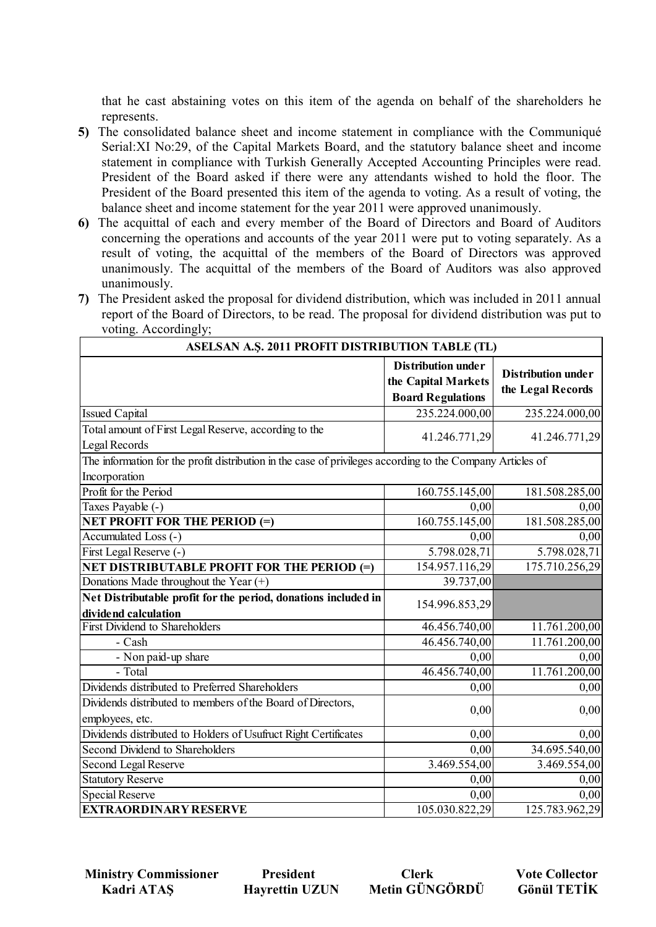that he cast abstaining votes on this item of the agenda on behalf of the shareholders he represents.

- **5)** The consolidated balance sheet and income statement in compliance with the Communiqué Serial:XI No:29, of the Capital Markets Board, and the statutory balance sheet and income statement in compliance with Turkish Generally Accepted Accounting Principles were read. President of the Board asked if there were any attendants wished to hold the floor. The President of the Board presented this item of the agenda to voting. As a result of voting, the balance sheet and income statement for the year 2011 were approved unanimously.
- **6)** The acquittal of each and every member of the Board of Directors and Board of Auditors concerning the operations and accounts of the year 2011 were put to voting separately. As a result of voting, the acquittal of the members of the Board of Directors was approved unanimously. The acquittal of the members of the Board of Auditors was also approved unanimously.
- **7)** The President asked the proposal for dividend distribution, which was included in 2011 annual report of the Board of Directors, to be read. The proposal for dividend distribution was put to voting. Accordingly;

| ASELSAN A.Ş. 2011 PROFIT DISTRIBUTION TABLE (TL)                                                           |                                                                              |                                                |  |
|------------------------------------------------------------------------------------------------------------|------------------------------------------------------------------------------|------------------------------------------------|--|
|                                                                                                            | <b>Distribution under</b><br>the Capital Markets<br><b>Board Regulations</b> | <b>Distribution under</b><br>the Legal Records |  |
| <b>Issued Capital</b>                                                                                      | 235.224.000,00                                                               | 235.224.000,00                                 |  |
| Total amount of First Legal Reserve, according to the<br>Legal Records                                     | 41.246.771,29                                                                | 41.246.771,29                                  |  |
| The information for the profit distribution in the case of privileges according to the Company Articles of |                                                                              |                                                |  |
| Incorporation                                                                                              |                                                                              |                                                |  |
| Profit for the Period                                                                                      | 160.755.145,00                                                               | 181.508.285,00                                 |  |
| Taxes Payable (-)                                                                                          | 0,00                                                                         | 0,00                                           |  |
| <b>NET PROFIT FOR THE PERIOD (=)</b>                                                                       | 160.755.145,00                                                               | 181.508.285,00                                 |  |
| Accumulated Loss (-)                                                                                       | 0,00                                                                         | 0,00                                           |  |
| First Legal Reserve (-)                                                                                    | 5.798.028,71                                                                 | 5.798.028,71                                   |  |
| NET DISTRIBUTABLE PROFIT FOR THE PERIOD (=)                                                                | 154.957.116,29                                                               | 175.710.256,29                                 |  |
| Donations Made throughout the Year (+)                                                                     | 39.737,00                                                                    |                                                |  |
| Net Distributable profit for the period, donations included in<br>dividend calculation                     | 154.996.853,29                                                               |                                                |  |
| <b>First Dividend to Shareholders</b>                                                                      | 46.456.740,00                                                                | 11.761.200,00                                  |  |
| - Cash                                                                                                     | 46.456.740,00                                                                | 11.761.200,00                                  |  |
| - Non paid-up share                                                                                        | 0,00                                                                         | 0,00                                           |  |
| - Total                                                                                                    | 46.456.740,00                                                                | 11.761.200,00                                  |  |
| Dividends distributed to Preferred Shareholders                                                            | 0,00                                                                         | 0,00                                           |  |
| Dividends distributed to members of the Board of Directors,<br>employees, etc.                             | 0,00                                                                         | 0,00                                           |  |
| Dividends distributed to Holders of Usufruct Right Certificates                                            | 0,00                                                                         | 0,00                                           |  |
| Second Dividend to Shareholders                                                                            | 0,00                                                                         | 34.695.540,00                                  |  |
| <b>Second Legal Reserve</b>                                                                                | 3.469.554,00                                                                 | 3.469.554,00                                   |  |
| <b>Statutory Reserve</b>                                                                                   | 0,00                                                                         | 0,00                                           |  |
| <b>Special Reserve</b>                                                                                     | 0,00                                                                         | 0,00                                           |  |
| <b>EXTRAORDINARY RESERVE</b>                                                                               | 105.030.822,29                                                               | 125.783.962,29                                 |  |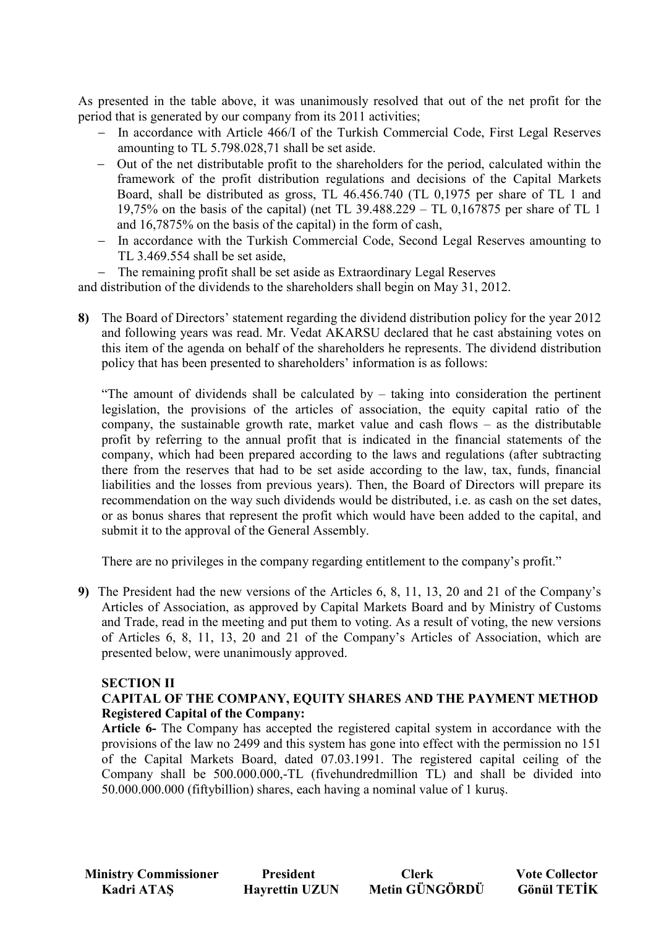As presented in the table above, it was unanimously resolved that out of the net profit for the period that is generated by our company from its 2011 activities;

- − In accordance with Article 466/I of the Turkish Commercial Code, First Legal Reserves amounting to TL 5.798.028,71 shall be set aside.
- − Out of the net distributable profit to the shareholders for the period, calculated within the framework of the profit distribution regulations and decisions of the Capital Markets Board, shall be distributed as gross, TL 46.456.740 (TL 0,1975 per share of TL 1 and 19,75% on the basis of the capital) (net TL 39.488.229 – TL 0,167875 per share of TL 1 and 16,7875% on the basis of the capital) in the form of cash,
- − In accordance with the Turkish Commercial Code, Second Legal Reserves amounting to TL 3.469.554 shall be set aside,
- The remaining profit shall be set aside as Extraordinary Legal Reserves

and distribution of the dividends to the shareholders shall begin on May 31, 2012.

**8)** The Board of Directors' statement regarding the dividend distribution policy for the year 2012 and following years was read. Mr. Vedat AKARSU declared that he cast abstaining votes on this item of the agenda on behalf of the shareholders he represents. The dividend distribution policy that has been presented to shareholders' information is as follows:

"The amount of dividends shall be calculated by – taking into consideration the pertinent legislation, the provisions of the articles of association, the equity capital ratio of the company, the sustainable growth rate, market value and cash flows – as the distributable profit by referring to the annual profit that is indicated in the financial statements of the company, which had been prepared according to the laws and regulations (after subtracting there from the reserves that had to be set aside according to the law, tax, funds, financial liabilities and the losses from previous years). Then, the Board of Directors will prepare its recommendation on the way such dividends would be distributed, i.e. as cash on the set dates, or as bonus shares that represent the profit which would have been added to the capital, and submit it to the approval of the General Assembly.

There are no privileges in the company regarding entitlement to the company's profit."

**9)** The President had the new versions of the Articles 6, 8, 11, 13, 20 and 21 of the Company's Articles of Association, as approved by Capital Markets Board and by Ministry of Customs and Trade, read in the meeting and put them to voting. As a result of voting, the new versions of Articles 6, 8, 11, 13, 20 and 21 of the Company's Articles of Association, which are presented below, were unanimously approved.

### **SECTION II**

## **CAPITAL OF THE COMPANY, EQUITY SHARES AND THE PAYMENT METHOD Registered Capital of the Company:**

**Article 6-** The Company has accepted the registered capital system in accordance with the provisions of the law no 2499 and this system has gone into effect with the permission no 151 of the Capital Markets Board, dated 07.03.1991. The registered capital ceiling of the Company shall be 500.000.000,-TL (fivehundredmillion TL) and shall be divided into 50.000.000.000 (fiftybillion) shares, each having a nominal value of 1 kuruş.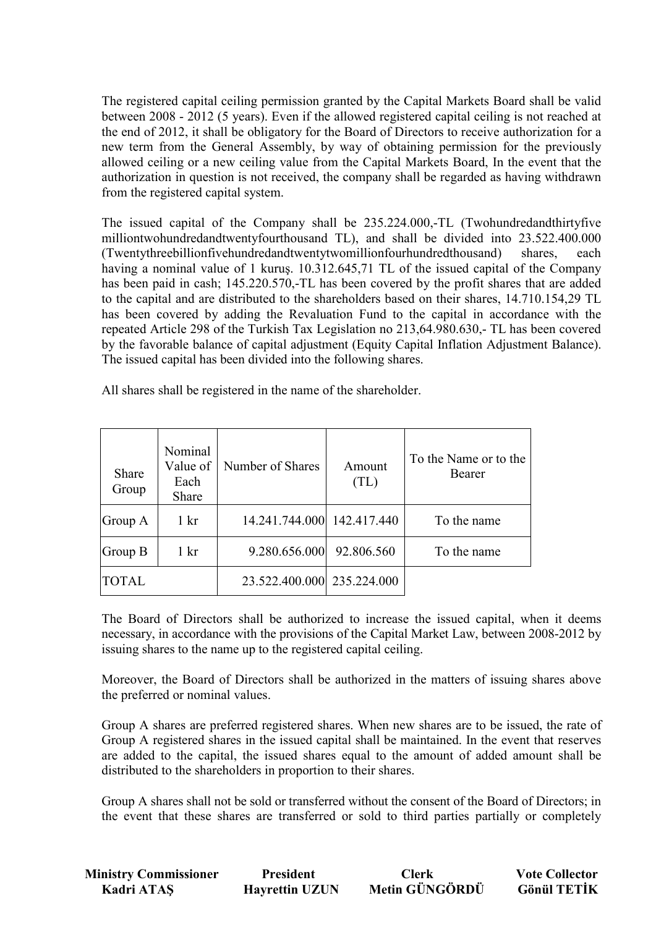The registered capital ceiling permission granted by the Capital Markets Board shall be valid between 2008 - 2012 (5 years). Even if the allowed registered capital ceiling is not reached at the end of 2012, it shall be obligatory for the Board of Directors to receive authorization for a new term from the General Assembly, by way of obtaining permission for the previously allowed ceiling or a new ceiling value from the Capital Markets Board, In the event that the authorization in question is not received, the company shall be regarded as having withdrawn from the registered capital system.

The issued capital of the Company shall be 235.224.000,-TL (Twohundredandthirtyfive milliontwohundredandtwentyfourthousand TL), and shall be divided into 23.522.400.000 (Twentythreebillionfivehundredandtwentytwomillionfourhundredthousand) shares, each having a nominal value of 1 kurus. 10.312.645,71 TL of the issued capital of the Company has been paid in cash; 145.220.570,-TL has been covered by the profit shares that are added to the capital and are distributed to the shareholders based on their shares, 14.710.154,29 TL has been covered by adding the Revaluation Fund to the capital in accordance with the repeated Article 298 of the Turkish Tax Legislation no 213,64.980.630,- TL has been covered by the favorable balance of capital adjustment (Equity Capital Inflation Adjustment Balance). The issued capital has been divided into the following shares.

| All shares shall be registered in the name of the shareholder. |  |
|----------------------------------------------------------------|--|
|----------------------------------------------------------------|--|

| Share<br>Group | Nominal<br>Value of<br>Each<br>Share | Number of Shares           | Amount<br>(TL) | To the Name or to the<br>Bearer |
|----------------|--------------------------------------|----------------------------|----------------|---------------------------------|
| Group A        | $1 \mathrm{kr}$                      | 14.241.744.000 142.417.440 |                | To the name                     |
| Group B        | $1 \mathrm{kr}$                      | 9.280.656.000              | 92.806.560     | To the name                     |
| <b>TOTAL</b>   |                                      | 23.522.400.000 235.224.000 |                |                                 |

The Board of Directors shall be authorized to increase the issued capital, when it deems necessary, in accordance with the provisions of the Capital Market Law, between 2008-2012 by issuing shares to the name up to the registered capital ceiling.

Moreover, the Board of Directors shall be authorized in the matters of issuing shares above the preferred or nominal values.

Group A shares are preferred registered shares. When new shares are to be issued, the rate of Group A registered shares in the issued capital shall be maintained. In the event that reserves are added to the capital, the issued shares equal to the amount of added amount shall be distributed to the shareholders in proportion to their shares.

Group A shares shall not be sold or transferred without the consent of the Board of Directors; in the event that these shares are transferred or sold to third parties partially or completely

| <b>Ministry Commissioner</b> | <b>President</b>      | <b>Clerk</b>   | <b>Vote Collector</b> |
|------------------------------|-----------------------|----------------|-----------------------|
| Kadri ATAŞ                   | <b>Hayrettin UZUN</b> | Metin GÜNGÖRDÜ | <b>Gönül TETİK</b>    |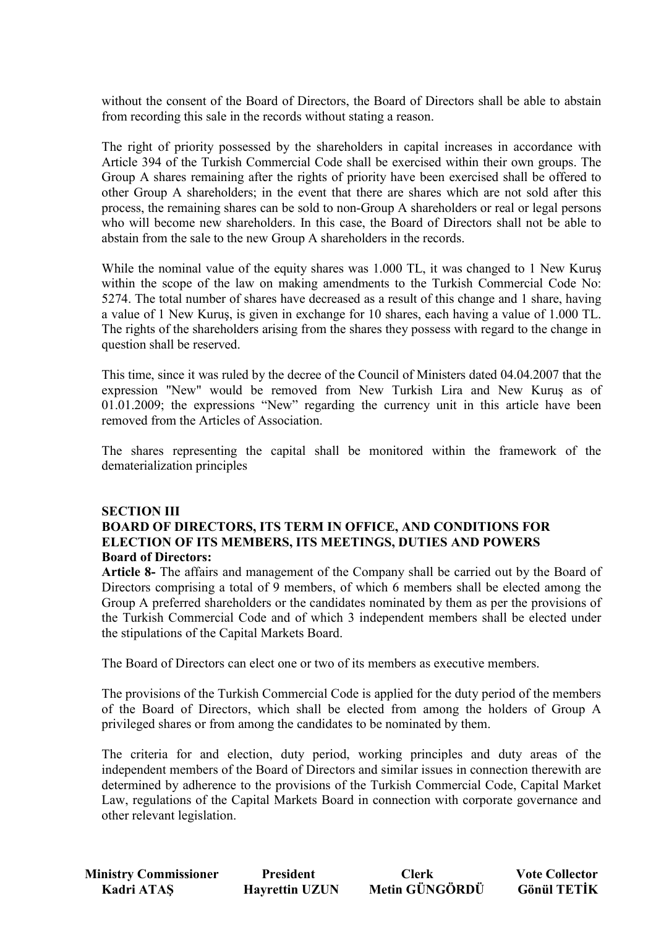without the consent of the Board of Directors, the Board of Directors shall be able to abstain from recording this sale in the records without stating a reason.

The right of priority possessed by the shareholders in capital increases in accordance with Article 394 of the Turkish Commercial Code shall be exercised within their own groups. The Group A shares remaining after the rights of priority have been exercised shall be offered to other Group A shareholders; in the event that there are shares which are not sold after this process, the remaining shares can be sold to non-Group A shareholders or real or legal persons who will become new shareholders. In this case, the Board of Directors shall not be able to abstain from the sale to the new Group A shareholders in the records.

While the nominal value of the equity shares was 1.000 TL, it was changed to 1 New Kurus within the scope of the law on making amendments to the Turkish Commercial Code No: 5274. The total number of shares have decreased as a result of this change and 1 share, having a value of 1 New Kuruş, is given in exchange for 10 shares, each having a value of 1.000 TL. The rights of the shareholders arising from the shares they possess with regard to the change in question shall be reserved.

This time, since it was ruled by the decree of the Council of Ministers dated 04.04.2007 that the expression "New" would be removed from New Turkish Lira and New Kuruş as of 01.01.2009; the expressions "New" regarding the currency unit in this article have been removed from the Articles of Association.

The shares representing the capital shall be monitored within the framework of the dematerialization principles

## **SECTION III BOARD OF DIRECTORS, ITS TERM IN OFFICE, AND CONDITIONS FOR ELECTION OF ITS MEMBERS, ITS MEETINGS, DUTIES AND POWERS Board of Directors:**

**Article 8-** The affairs and management of the Company shall be carried out by the Board of Directors comprising a total of 9 members, of which 6 members shall be elected among the Group A preferred shareholders or the candidates nominated by them as per the provisions of the Turkish Commercial Code and of which 3 independent members shall be elected under the stipulations of the Capital Markets Board.

The Board of Directors can elect one or two of its members as executive members.

The provisions of the Turkish Commercial Code is applied for the duty period of the members of the Board of Directors, which shall be elected from among the holders of Group A privileged shares or from among the candidates to be nominated by them.

The criteria for and election, duty period, working principles and duty areas of the independent members of the Board of Directors and similar issues in connection therewith are determined by adherence to the provisions of the Turkish Commercial Code, Capital Market Law, regulations of the Capital Markets Board in connection with corporate governance and other relevant legislation.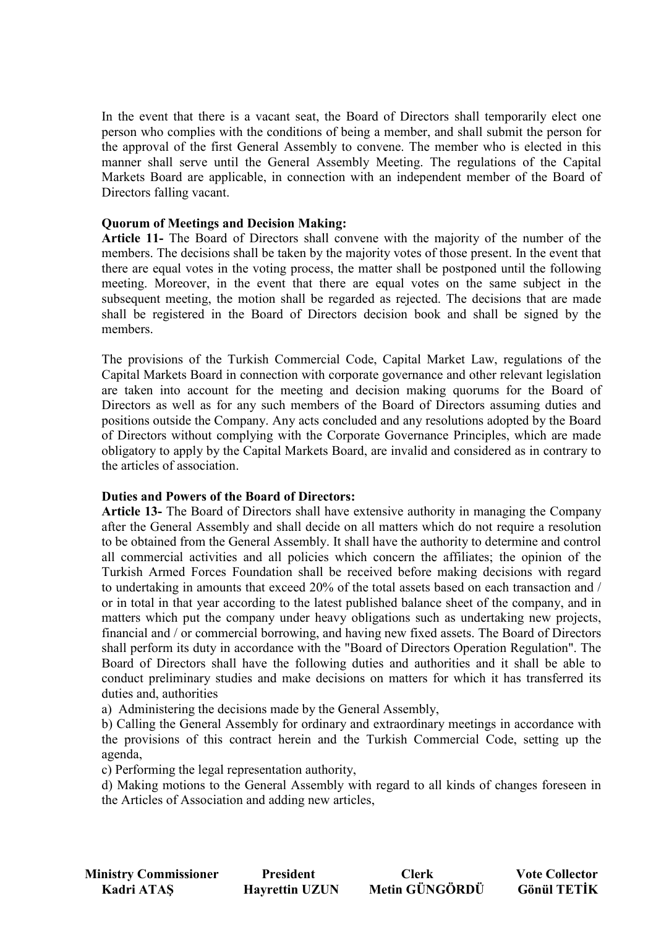In the event that there is a vacant seat, the Board of Directors shall temporarily elect one person who complies with the conditions of being a member, and shall submit the person for the approval of the first General Assembly to convene. The member who is elected in this manner shall serve until the General Assembly Meeting. The regulations of the Capital Markets Board are applicable, in connection with an independent member of the Board of Directors falling vacant.

#### **Quorum of Meetings and Decision Making:**

**Article 11-** The Board of Directors shall convene with the majority of the number of the members. The decisions shall be taken by the majority votes of those present. In the event that there are equal votes in the voting process, the matter shall be postponed until the following meeting. Moreover, in the event that there are equal votes on the same subject in the subsequent meeting, the motion shall be regarded as rejected. The decisions that are made shall be registered in the Board of Directors decision book and shall be signed by the members.

The provisions of the Turkish Commercial Code, Capital Market Law, regulations of the Capital Markets Board in connection with corporate governance and other relevant legislation are taken into account for the meeting and decision making quorums for the Board of Directors as well as for any such members of the Board of Directors assuming duties and positions outside the Company. Any acts concluded and any resolutions adopted by the Board of Directors without complying with the Corporate Governance Principles, which are made obligatory to apply by the Capital Markets Board, are invalid and considered as in contrary to the articles of association.

#### **Duties and Powers of the Board of Directors:**

**Article 13-** The Board of Directors shall have extensive authority in managing the Company after the General Assembly and shall decide on all matters which do not require a resolution to be obtained from the General Assembly. It shall have the authority to determine and control all commercial activities and all policies which concern the affiliates; the opinion of the Turkish Armed Forces Foundation shall be received before making decisions with regard to undertaking in amounts that exceed 20% of the total assets based on each transaction and / or in total in that year according to the latest published balance sheet of the company, and in matters which put the company under heavy obligations such as undertaking new projects, financial and / or commercial borrowing, and having new fixed assets. The Board of Directors shall perform its duty in accordance with the "Board of Directors Operation Regulation". The Board of Directors shall have the following duties and authorities and it shall be able to conduct preliminary studies and make decisions on matters for which it has transferred its duties and, authorities

a) Administering the decisions made by the General Assembly,

b) Calling the General Assembly for ordinary and extraordinary meetings in accordance with the provisions of this contract herein and the Turkish Commercial Code, setting up the agenda,

c) Performing the legal representation authority,

d) Making motions to the General Assembly with regard to all kinds of changes foreseen in the Articles of Association and adding new articles,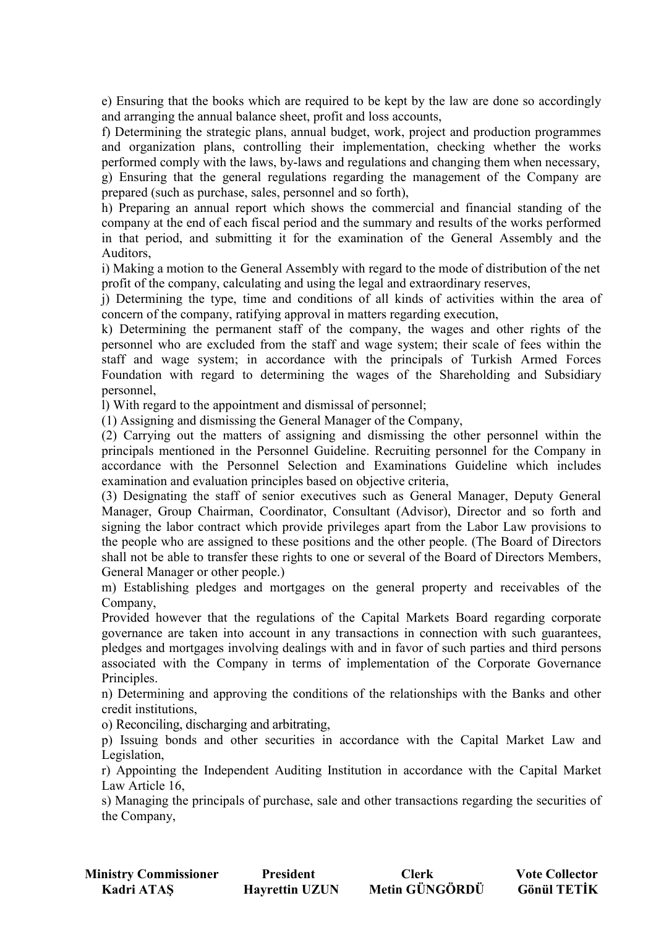e) Ensuring that the books which are required to be kept by the law are done so accordingly and arranging the annual balance sheet, profit and loss accounts,

f) Determining the strategic plans, annual budget, work, project and production programmes and organization plans, controlling their implementation, checking whether the works performed comply with the laws, by-laws and regulations and changing them when necessary, g) Ensuring that the general regulations regarding the management of the Company are

prepared (such as purchase, sales, personnel and so forth),

h) Preparing an annual report which shows the commercial and financial standing of the company at the end of each fiscal period and the summary and results of the works performed in that period, and submitting it for the examination of the General Assembly and the Auditors,

i) Making a motion to the General Assembly with regard to the mode of distribution of the net profit of the company, calculating and using the legal and extraordinary reserves,

j) Determining the type, time and conditions of all kinds of activities within the area of concern of the company, ratifying approval in matters regarding execution,

k) Determining the permanent staff of the company, the wages and other rights of the personnel who are excluded from the staff and wage system; their scale of fees within the staff and wage system; in accordance with the principals of Turkish Armed Forces Foundation with regard to determining the wages of the Shareholding and Subsidiary personnel,

l) With regard to the appointment and dismissal of personnel;

(1) Assigning and dismissing the General Manager of the Company,

(2) Carrying out the matters of assigning and dismissing the other personnel within the principals mentioned in the Personnel Guideline. Recruiting personnel for the Company in accordance with the Personnel Selection and Examinations Guideline which includes examination and evaluation principles based on objective criteria,

(3) Designating the staff of senior executives such as General Manager, Deputy General Manager, Group Chairman, Coordinator, Consultant (Advisor), Director and so forth and signing the labor contract which provide privileges apart from the Labor Law provisions to the people who are assigned to these positions and the other people. (The Board of Directors shall not be able to transfer these rights to one or several of the Board of Directors Members, General Manager or other people.)

m) Establishing pledges and mortgages on the general property and receivables of the Company,

Provided however that the regulations of the Capital Markets Board regarding corporate governance are taken into account in any transactions in connection with such guarantees, pledges and mortgages involving dealings with and in favor of such parties and third persons associated with the Company in terms of implementation of the Corporate Governance Principles.

n) Determining and approving the conditions of the relationships with the Banks and other credit institutions,

o) Reconciling, discharging and arbitrating,

p) Issuing bonds and other securities in accordance with the Capital Market Law and Legislation,

r) Appointing the Independent Auditing Institution in accordance with the Capital Market Law Article 16,

s) Managing the principals of purchase, sale and other transactions regarding the securities of the Company,

| <b>Ministry Commissioner</b> | <b>President</b>      | <b>Clerk</b>   | <b>Vote Collector</b> |
|------------------------------|-----------------------|----------------|-----------------------|
| Kadri ATAŞ                   | <b>Hayrettin UZUN</b> | Metin GÜNGÖRDÜ | <b>Gönül TETİK</b>    |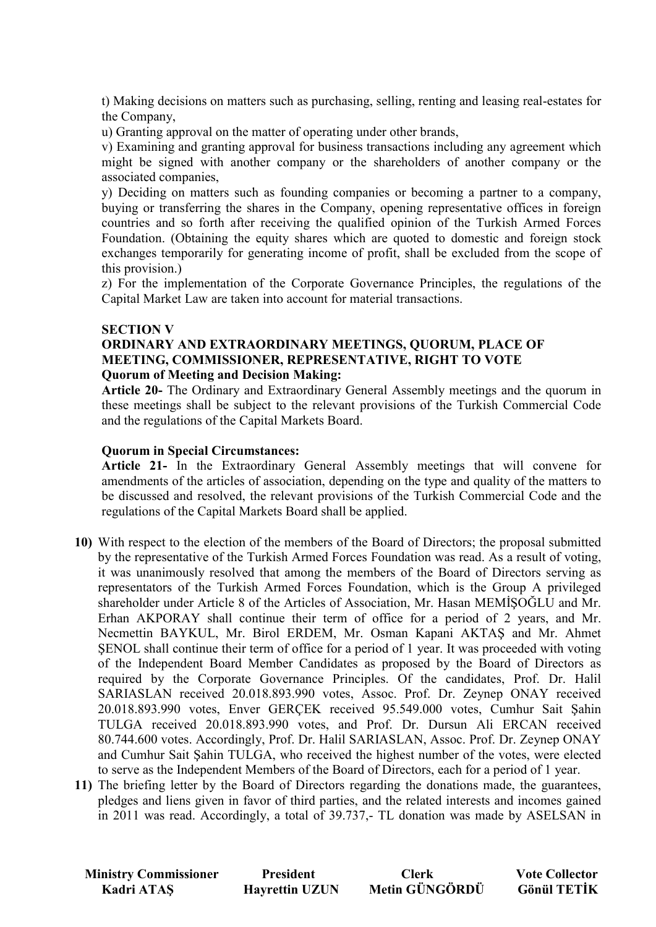t) Making decisions on matters such as purchasing, selling, renting and leasing real-estates for the Company,

u) Granting approval on the matter of operating under other brands,

v) Examining and granting approval for business transactions including any agreement which might be signed with another company or the shareholders of another company or the associated companies,

y) Deciding on matters such as founding companies or becoming a partner to a company, buying or transferring the shares in the Company, opening representative offices in foreign countries and so forth after receiving the qualified opinion of the Turkish Armed Forces Foundation. (Obtaining the equity shares which are quoted to domestic and foreign stock exchanges temporarily for generating income of profit, shall be excluded from the scope of this provision.)

z) For the implementation of the Corporate Governance Principles, the regulations of the Capital Market Law are taken into account for material transactions.

### **SECTION V**

## **ORDINARY AND EXTRAORDINARY MEETINGS, QUORUM, PLACE OF MEETING, COMMISSIONER, REPRESENTATIVE, RIGHT TO VOTE Quorum of Meeting and Decision Making:**

**Article 20-** The Ordinary and Extraordinary General Assembly meetings and the quorum in these meetings shall be subject to the relevant provisions of the Turkish Commercial Code and the regulations of the Capital Markets Board.

### **Quorum in Special Circumstances:**

**Article 21-** In the Extraordinary General Assembly meetings that will convene for amendments of the articles of association, depending on the type and quality of the matters to be discussed and resolved, the relevant provisions of the Turkish Commercial Code and the regulations of the Capital Markets Board shall be applied.

- **10)** With respect to the election of the members of the Board of Directors; the proposal submitted by the representative of the Turkish Armed Forces Foundation was read. As a result of voting, it was unanimously resolved that among the members of the Board of Directors serving as representators of the Turkish Armed Forces Foundation, which is the Group A privileged shareholder under Article 8 of the Articles of Association, Mr. Hasan MEMISOGLU and Mr. Erhan AKPORAY shall continue their term of office for a period of 2 years, and Mr. Necmettin BAYKUL, Mr. Birol ERDEM, Mr. Osman Kapani AKTAŞ and Mr. Ahmet ŞENOL shall continue their term of office for a period of 1 year. It was proceeded with voting of the Independent Board Member Candidates as proposed by the Board of Directors as required by the Corporate Governance Principles. Of the candidates, Prof. Dr. Halil SARIASLAN received 20.018.893.990 votes, Assoc. Prof. Dr. Zeynep ONAY received 20.018.893.990 votes, Enver GERÇEK received 95.549.000 votes, Cumhur Sait Şahin TULGA received 20.018.893.990 votes, and Prof. Dr. Dursun Ali ERCAN received 80.744.600 votes. Accordingly, Prof. Dr. Halil SARIASLAN, Assoc. Prof. Dr. Zeynep ONAY and Cumhur Sait Şahin TULGA, who received the highest number of the votes, were elected to serve as the Independent Members of the Board of Directors, each for a period of 1 year.
- **11)** The briefing letter by the Board of Directors regarding the donations made, the guarantees, pledges and liens given in favor of third parties, and the related interests and incomes gained in 2011 was read. Accordingly, a total of 39.737,- TL donation was made by ASELSAN in

| <b>Ministry Commissioner</b> | <b>President</b>      | <b>Clerk</b>   | <b>Vote Collector</b> |
|------------------------------|-----------------------|----------------|-----------------------|
| Kadri ATAŞ                   | <b>Hayrettin UZUN</b> | Metin GÜNGÖRDÜ | <b>Gönül TETİK</b>    |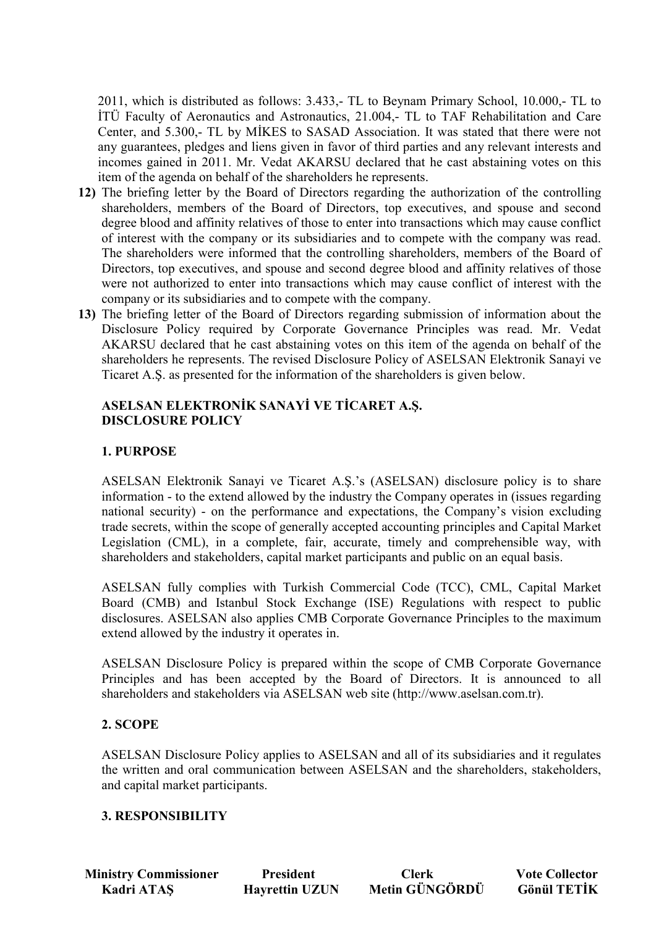2011, which is distributed as follows: 3.433,- TL to Beynam Primary School, 10.000,- TL to ITÜ Faculty of Aeronautics and Astronautics, 21.004.- TL to TAF Rehabilitation and Care Center, and 5.300,- TL by MIKES to SASAD Association. It was stated that there were not any guarantees, pledges and liens given in favor of third parties and any relevant interests and incomes gained in 2011. Mr. Vedat AKARSU declared that he cast abstaining votes on this item of the agenda on behalf of the shareholders he represents.

- **12)** The briefing letter by the Board of Directors regarding the authorization of the controlling shareholders, members of the Board of Directors, top executives, and spouse and second degree blood and affinity relatives of those to enter into transactions which may cause conflict of interest with the company or its subsidiaries and to compete with the company was read. The shareholders were informed that the controlling shareholders, members of the Board of Directors, top executives, and spouse and second degree blood and affinity relatives of those were not authorized to enter into transactions which may cause conflict of interest with the company or its subsidiaries and to compete with the company.
- **13)** The briefing letter of the Board of Directors regarding submission of information about the Disclosure Policy required by Corporate Governance Principles was read. Mr. Vedat AKARSU declared that he cast abstaining votes on this item of the agenda on behalf of the shareholders he represents. The revised Disclosure Policy of ASELSAN Elektronik Sanayi ve Ticaret A.Ş. as presented for the information of the shareholders is given below.

## **ASELSAN ELEKTRONİK SANAYİ VE TİCARET A.Ş. DISCLOSURE POLICY**

# **1. PURPOSE**

ASELSAN Elektronik Sanayi ve Ticaret A.Ş.'s (ASELSAN) disclosure policy is to share information - to the extend allowed by the industry the Company operates in (issues regarding national security) - on the performance and expectations, the Company's vision excluding trade secrets, within the scope of generally accepted accounting principles and Capital Market Legislation (CML), in a complete, fair, accurate, timely and comprehensible way, with shareholders and stakeholders, capital market participants and public on an equal basis.

ASELSAN fully complies with Turkish Commercial Code (TCC), CML, Capital Market Board (CMB) and Istanbul Stock Exchange (ISE) Regulations with respect to public disclosures. ASELSAN also applies CMB Corporate Governance Principles to the maximum extend allowed by the industry it operates in.

ASELSAN Disclosure Policy is prepared within the scope of CMB Corporate Governance Principles and has been accepted by the Board of Directors. It is announced to all shareholders and stakeholders via ASELSAN web site (http://www.aselsan.com.tr).

## **2. SCOPE**

ASELSAN Disclosure Policy applies to ASELSAN and all of its subsidiaries and it regulates the written and oral communication between ASELSAN and the shareholders, stakeholders, and capital market participants.

## **3. RESPONSIBILITY**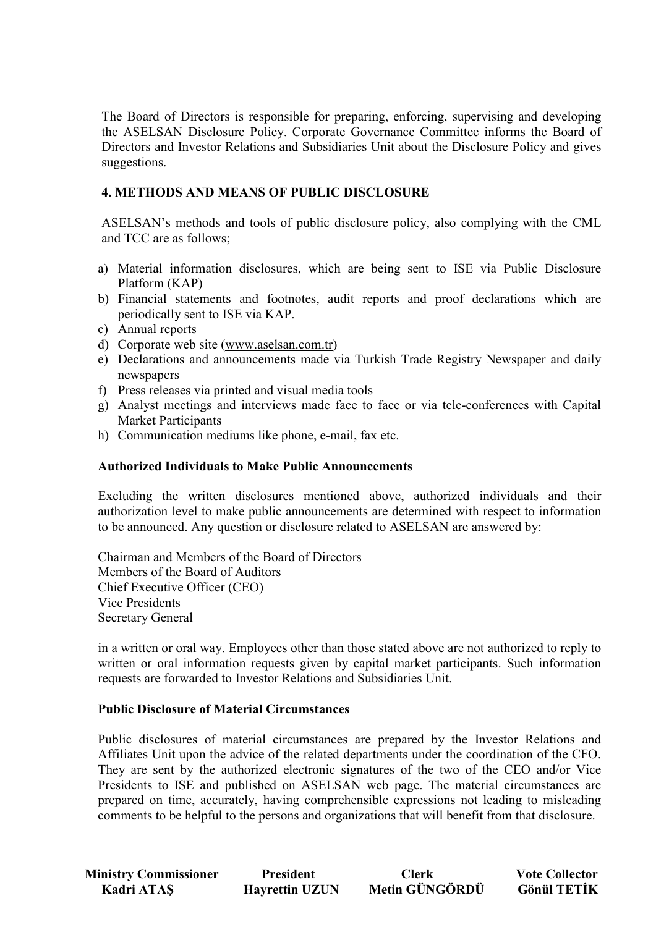The Board of Directors is responsible for preparing, enforcing, supervising and developing the ASELSAN Disclosure Policy. Corporate Governance Committee informs the Board of Directors and Investor Relations and Subsidiaries Unit about the Disclosure Policy and gives suggestions.

## **4. METHODS AND MEANS OF PUBLIC DISCLOSURE**

ASELSAN's methods and tools of public disclosure policy, also complying with the CML and TCC are as follows;

- a) Material information disclosures, which are being sent to ISE via Public Disclosure Platform (KAP)
- b) Financial statements and footnotes, audit reports and proof declarations which are periodically sent to ISE via KAP.
- c) Annual reports
- d) Corporate web site (www.aselsan.com.tr)
- e) Declarations and announcements made via Turkish Trade Registry Newspaper and daily newspapers
- f) Press releases via printed and visual media tools
- g) Analyst meetings and interviews made face to face or via tele-conferences with Capital Market Participants
- h) Communication mediums like phone, e-mail, fax etc.

### **Authorized Individuals to Make Public Announcements**

Excluding the written disclosures mentioned above, authorized individuals and their authorization level to make public announcements are determined with respect to information to be announced. Any question or disclosure related to ASELSAN are answered by:

Chairman and Members of the Board of Directors Members of the Board of Auditors Chief Executive Officer (CEO) Vice Presidents Secretary General

in a written or oral way. Employees other than those stated above are not authorized to reply to written or oral information requests given by capital market participants. Such information requests are forwarded to Investor Relations and Subsidiaries Unit.

### **Public Disclosure of Material Circumstances**

Public disclosures of material circumstances are prepared by the Investor Relations and Affiliates Unit upon the advice of the related departments under the coordination of the CFO. They are sent by the authorized electronic signatures of the two of the CEO and/or Vice Presidents to ISE and published on ASELSAN web page. The material circumstances are prepared on time, accurately, having comprehensible expressions not leading to misleading comments to be helpful to the persons and organizations that will benefit from that disclosure.

| <b>Ministry Commissioner</b> | <b>President</b>      | <b>Clerk</b>   | <b>Vote Collector</b> |
|------------------------------|-----------------------|----------------|-----------------------|
| Kadri ATAŞ                   | <b>Hayrettin UZUN</b> | Metin GÜNGÖRDÜ | <b>Gönül TETİK</b>    |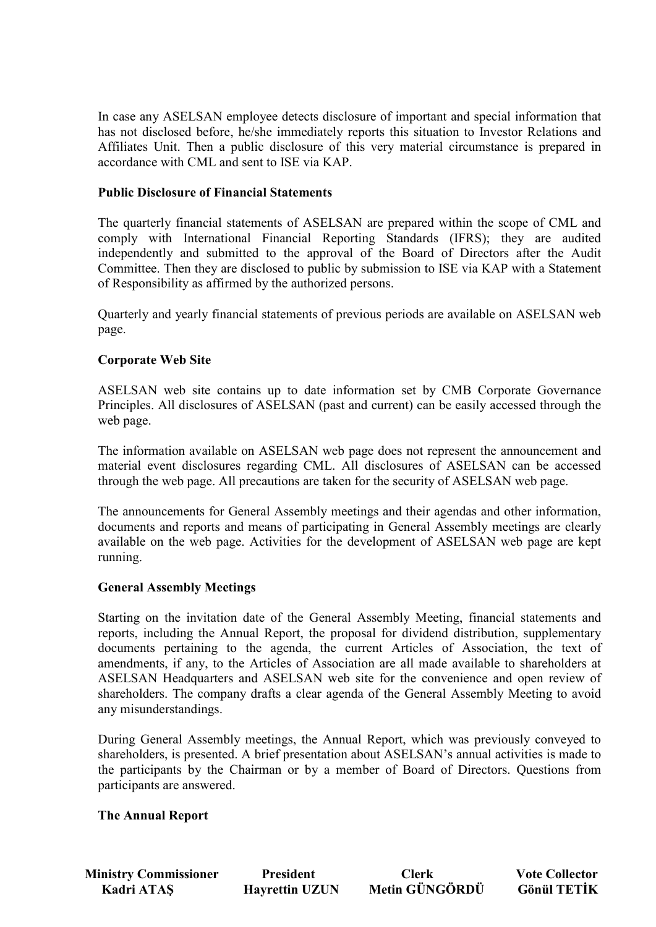In case any ASELSAN employee detects disclosure of important and special information that has not disclosed before, he/she immediately reports this situation to Investor Relations and Affiliates Unit. Then a public disclosure of this very material circumstance is prepared in accordance with CML and sent to ISE via KAP.

### **Public Disclosure of Financial Statements**

The quarterly financial statements of ASELSAN are prepared within the scope of CML and comply with International Financial Reporting Standards (IFRS); they are audited independently and submitted to the approval of the Board of Directors after the Audit Committee. Then they are disclosed to public by submission to ISE via KAP with a Statement of Responsibility as affirmed by the authorized persons.

Quarterly and yearly financial statements of previous periods are available on ASELSAN web page.

## **Corporate Web Site**

ASELSAN web site contains up to date information set by CMB Corporate Governance Principles. All disclosures of ASELSAN (past and current) can be easily accessed through the web page.

The information available on ASELSAN web page does not represent the announcement and material event disclosures regarding CML. All disclosures of ASELSAN can be accessed through the web page. All precautions are taken for the security of ASELSAN web page.

The announcements for General Assembly meetings and their agendas and other information, documents and reports and means of participating in General Assembly meetings are clearly available on the web page. Activities for the development of ASELSAN web page are kept running.

### **General Assembly Meetings**

Starting on the invitation date of the General Assembly Meeting, financial statements and reports, including the Annual Report, the proposal for dividend distribution, supplementary documents pertaining to the agenda, the current Articles of Association, the text of amendments, if any, to the Articles of Association are all made available to shareholders at ASELSAN Headquarters and ASELSAN web site for the convenience and open review of shareholders. The company drafts a clear agenda of the General Assembly Meeting to avoid any misunderstandings.

During General Assembly meetings, the Annual Report, which was previously conveyed to shareholders, is presented. A brief presentation about ASELSAN's annual activities is made to the participants by the Chairman or by a member of Board of Directors. Questions from participants are answered.

### **The Annual Report**

**Ministry Commissioner** President Clerk Vote Collector<br> **Exadri ATAS** Havrettin UZUN Metin GÜNGÖRDÜ Gönül TETİK **Kadri ATAS Hayrettin UZUN**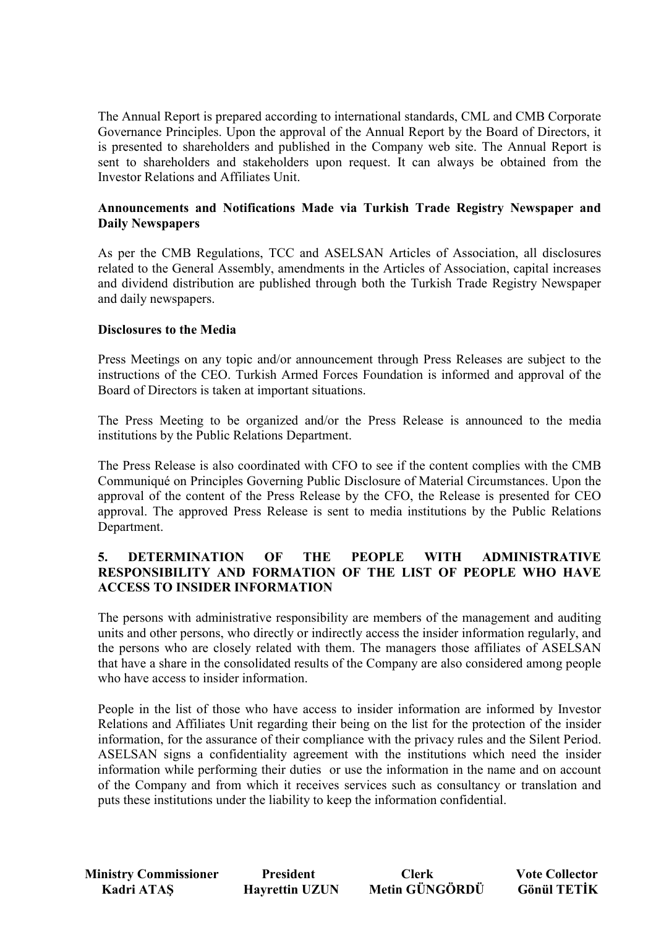The Annual Report is prepared according to international standards, CML and CMB Corporate Governance Principles. Upon the approval of the Annual Report by the Board of Directors, it is presented to shareholders and published in the Company web site. The Annual Report is sent to shareholders and stakeholders upon request. It can always be obtained from the Investor Relations and Affiliates Unit.

## **Announcements and Notifications Made via Turkish Trade Registry Newspaper and Daily Newspapers**

As per the CMB Regulations, TCC and ASELSAN Articles of Association, all disclosures related to the General Assembly, amendments in the Articles of Association, capital increases and dividend distribution are published through both the Turkish Trade Registry Newspaper and daily newspapers.

## **Disclosures to the Media**

Press Meetings on any topic and/or announcement through Press Releases are subject to the instructions of the CEO. Turkish Armed Forces Foundation is informed and approval of the Board of Directors is taken at important situations.

The Press Meeting to be organized and/or the Press Release is announced to the media institutions by the Public Relations Department.

The Press Release is also coordinated with CFO to see if the content complies with the CMB Communiqué on Principles Governing Public Disclosure of Material Circumstances. Upon the approval of the content of the Press Release by the CFO, the Release is presented for CEO approval. The approved Press Release is sent to media institutions by the Public Relations Department.

## **5. DETERMINATION OF THE PEOPLE WITH ADMINISTRATIVE RESPONSIBILITY AND FORMATION OF THE LIST OF PEOPLE WHO HAVE ACCESS TO INSIDER INFORMATION**

The persons with administrative responsibility are members of the management and auditing units and other persons, who directly or indirectly access the insider information regularly, and the persons who are closely related with them. The managers those affiliates of ASELSAN that have a share in the consolidated results of the Company are also considered among people who have access to insider information.

People in the list of those who have access to insider information are informed by Investor Relations and Affiliates Unit regarding their being on the list for the protection of the insider information, for the assurance of their compliance with the privacy rules and the Silent Period. ASELSAN signs a confidentiality agreement with the institutions which need the insider information while performing their duties or use the information in the name and on account of the Company and from which it receives services such as consultancy or translation and puts these institutions under the liability to keep the information confidential.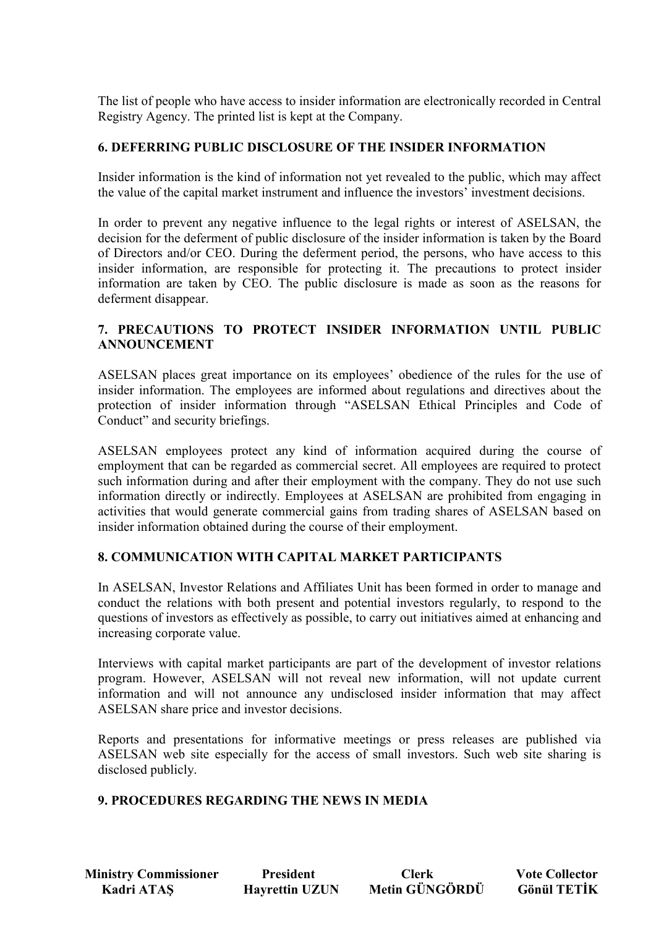The list of people who have access to insider information are electronically recorded in Central Registry Agency. The printed list is kept at the Company.

## **6. DEFERRING PUBLIC DISCLOSURE OF THE INSIDER INFORMATION**

Insider information is the kind of information not yet revealed to the public, which may affect the value of the capital market instrument and influence the investors' investment decisions.

In order to prevent any negative influence to the legal rights or interest of ASELSAN, the decision for the deferment of public disclosure of the insider information is taken by the Board of Directors and/or CEO. During the deferment period, the persons, who have access to this insider information, are responsible for protecting it. The precautions to protect insider information are taken by CEO. The public disclosure is made as soon as the reasons for deferment disappear.

## **7. PRECAUTIONS TO PROTECT INSIDER INFORMATION UNTIL PUBLIC ANNOUNCEMENT**

ASELSAN places great importance on its employees' obedience of the rules for the use of insider information. The employees are informed about regulations and directives about the protection of insider information through "ASELSAN Ethical Principles and Code of Conduct" and security briefings.

ASELSAN employees protect any kind of information acquired during the course of employment that can be regarded as commercial secret. All employees are required to protect such information during and after their employment with the company. They do not use such information directly or indirectly. Employees at ASELSAN are prohibited from engaging in activities that would generate commercial gains from trading shares of ASELSAN based on insider information obtained during the course of their employment.

## **8. COMMUNICATION WITH CAPITAL MARKET PARTICIPANTS**

In ASELSAN, Investor Relations and Affiliates Unit has been formed in order to manage and conduct the relations with both present and potential investors regularly, to respond to the questions of investors as effectively as possible, to carry out initiatives aimed at enhancing and increasing corporate value.

Interviews with capital market participants are part of the development of investor relations program. However, ASELSAN will not reveal new information, will not update current information and will not announce any undisclosed insider information that may affect ASELSAN share price and investor decisions.

Reports and presentations for informative meetings or press releases are published via ASELSAN web site especially for the access of small investors. Such web site sharing is disclosed publicly.

### **9. PROCEDURES REGARDING THE NEWS IN MEDIA**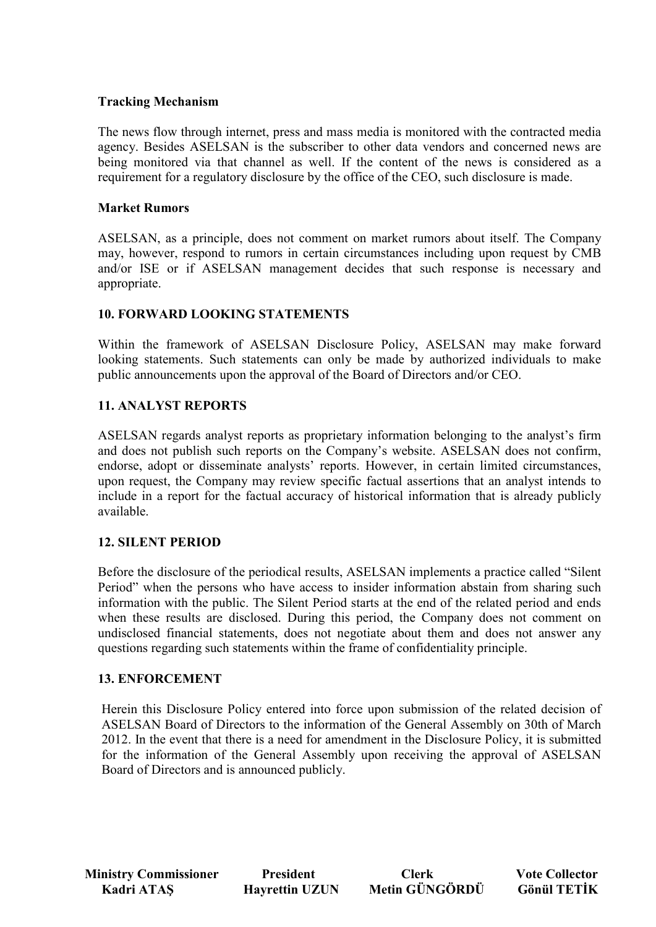## **Tracking Mechanism**

The news flow through internet, press and mass media is monitored with the contracted media agency. Besides ASELSAN is the subscriber to other data vendors and concerned news are being monitored via that channel as well. If the content of the news is considered as a requirement for a regulatory disclosure by the office of the CEO, such disclosure is made.

## **Market Rumors**

ASELSAN, as a principle, does not comment on market rumors about itself. The Company may, however, respond to rumors in certain circumstances including upon request by CMB and/or ISE or if ASELSAN management decides that such response is necessary and appropriate.

## **10. FORWARD LOOKING STATEMENTS**

Within the framework of ASELSAN Disclosure Policy, ASELSAN may make forward looking statements. Such statements can only be made by authorized individuals to make public announcements upon the approval of the Board of Directors and/or CEO.

## **11. ANALYST REPORTS**

ASELSAN regards analyst reports as proprietary information belonging to the analyst's firm and does not publish such reports on the Company's website. ASELSAN does not confirm, endorse, adopt or disseminate analysts' reports. However, in certain limited circumstances, upon request, the Company may review specific factual assertions that an analyst intends to include in a report for the factual accuracy of historical information that is already publicly available.

## **12. SILENT PERIOD**

Before the disclosure of the periodical results, ASELSAN implements a practice called "Silent Period" when the persons who have access to insider information abstain from sharing such information with the public. The Silent Period starts at the end of the related period and ends when these results are disclosed. During this period, the Company does not comment on undisclosed financial statements, does not negotiate about them and does not answer any questions regarding such statements within the frame of confidentiality principle.

### **13. ENFORCEMENT**

Herein this Disclosure Policy entered into force upon submission of the related decision of ASELSAN Board of Directors to the information of the General Assembly on 30th of March 2012. In the event that there is a need for amendment in the Disclosure Policy, it is submitted for the information of the General Assembly upon receiving the approval of ASELSAN Board of Directors and is announced publicly.

**Ministry Commissioner** President Clerk Vote Collector<br> **Exadri ATAS** Havrettin UZUN Metin GÜNGÖRDÜ Gönül TETİK Kadri ATAŞ **Hayrettin UZUN** Metin GÜNGÖRDÜ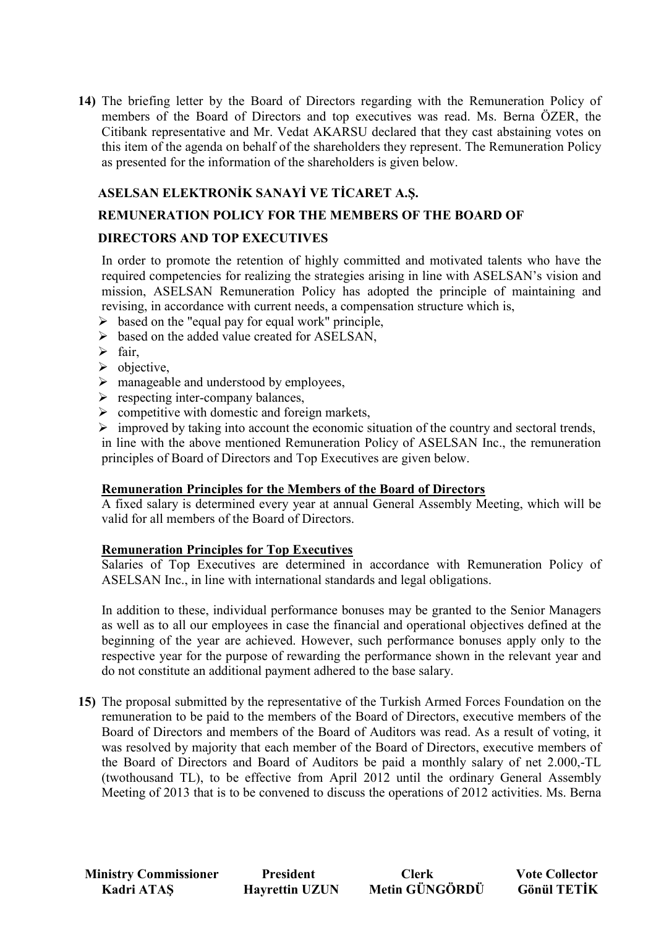**14)** The briefing letter by the Board of Directors regarding with the Remuneration Policy of members of the Board of Directors and top executives was read. Ms. Berna ÖZER, the Citibank representative and Mr. Vedat AKARSU declared that they cast abstaining votes on this item of the agenda on behalf of the shareholders they represent. The Remuneration Policy as presented for the information of the shareholders is given below.

# **ASELSAN ELEKTRONİK SANAYİ VE TİCARET A.S.**

# **REMUNERATION POLICY FOR THE MEMBERS OF THE BOARD OF**

## **DIRECTORS AND TOP EXECUTIVES**

In order to promote the retention of highly committed and motivated talents who have the required competencies for realizing the strategies arising in line with ASELSAN's vision and mission, ASELSAN Remuneration Policy has adopted the principle of maintaining and revising, in accordance with current needs, a compensation structure which is,

- $\triangleright$  based on the "equal pay for equal work" principle,
- $\triangleright$  based on the added value created for ASELSAN,
- $\triangleright$  fair,
- $\triangleright$  objective,
- $\triangleright$  manageable and understood by employees,
- $\triangleright$  respecting inter-company balances,
- $\triangleright$  competitive with domestic and foreign markets,
- $\triangleright$  improved by taking into account the economic situation of the country and sectoral trends,

in line with the above mentioned Remuneration Policy of ASELSAN Inc., the remuneration principles of Board of Directors and Top Executives are given below.

### **Remuneration Principles for the Members of the Board of Directors**

A fixed salary is determined every year at annual General Assembly Meeting, which will be valid for all members of the Board of Directors.

### **Remuneration Principles for Top Executives**

Salaries of Top Executives are determined in accordance with Remuneration Policy of ASELSAN Inc., in line with international standards and legal obligations.

In addition to these, individual performance bonuses may be granted to the Senior Managers as well as to all our employees in case the financial and operational objectives defined at the beginning of the year are achieved. However, such performance bonuses apply only to the respective year for the purpose of rewarding the performance shown in the relevant year and do not constitute an additional payment adhered to the base salary.

**15)** The proposal submitted by the representative of the Turkish Armed Forces Foundation on the remuneration to be paid to the members of the Board of Directors, executive members of the Board of Directors and members of the Board of Auditors was read. As a result of voting, it was resolved by majority that each member of the Board of Directors, executive members of the Board of Directors and Board of Auditors be paid a monthly salary of net 2.000,-TL (twothousand TL), to be effective from April 2012 until the ordinary General Assembly Meeting of 2013 that is to be convened to discuss the operations of 2012 activities. Ms. Berna